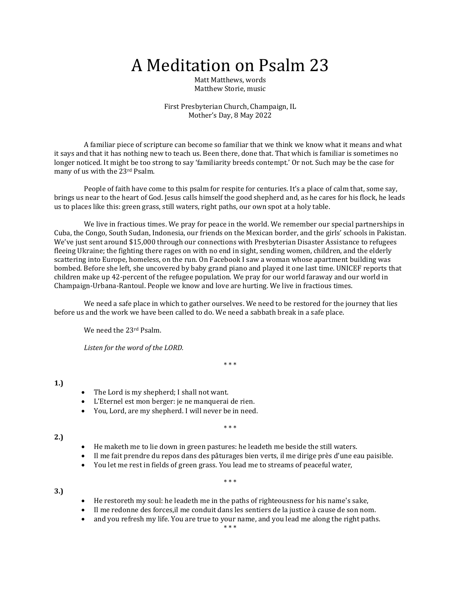# A Meditation on Psalm 23

Matt Matthews, words Matthew Storie, music

First Presbyterian Church, Champaign, IL Mother's Day, 8 May 2022

 A familiar piece of scripture can become so familiar that we think we know what it means and what it says and that it has nothing new to teach us. Been there, done that. That which is familiar is sometimes no longer noticed. It might be too strong to say 'familiarity breeds contempt.' Or not. Such may be the case for many of us with the 23rd Psalm.

 People of faith have come to this psalm for respite for centuries. It's a place of calm that, some say, brings us near to the heart of God. Jesus calls himself the good shepherd and, as he cares for his flock, he leads us to places like this: green grass, still waters, right paths, our own spot at a holy table.

 We live in fractious times. We pray for peace in the world. We remember our special partnerships in Cuba, the Congo, South Sudan, Indonesia, our friends on the Mexican border, and the girls' schools in Pakistan. We've just sent around \$15,000 through our connections with Presbyterian Disaster Assistance to refugees fleeing Ukraine; the fighting there rages on with no end in sight, sending women, children, and the elderly scattering into Europe, homeless, on the run. On Facebook I saw a woman whose apartment building was bombed. Before she left, she uncovered by baby grand piano and played it one last time. UNICEF reports that children make up 42-percent of the refugee population. We pray for our world faraway and our world in Champaign-Urbana-Rantoul. People we know and love are hurting. We live in fractious times.

 We need a safe place in which to gather ourselves. We need to be restored for the journey that lies before us and the work we have been called to do. We need a sabbath break in a safe place.

We need the 23rd Psalm.

*Listen for the word of the LORD.*

\* \* \*

### **1.)**

- The Lord is my shepherd; I shall not want.
- L'Eternel est mon berger: je ne manquerai de rien.
- You, Lord, are my shepherd. I will never be in need.

\* \* \*

## **2.)**

**3.)**

- He maketh me to lie down in green pastures: he leadeth me beside the still waters.
- Il me fait prendre du repos dans des pâturages bien verts, il me dirige près d'une eau paisible.
- You let me rest in fields of green grass. You lead me to streams of peaceful water,

#### \* \* \*

- He restoreth my soul: he leadeth me in the paths of righteousness for his name's sake,
- Il me redonne des forces,il me conduit dans les sentiers de la justice à cause de son nom.
- and you refresh my life. You are true to your name, and you lead me along the right paths.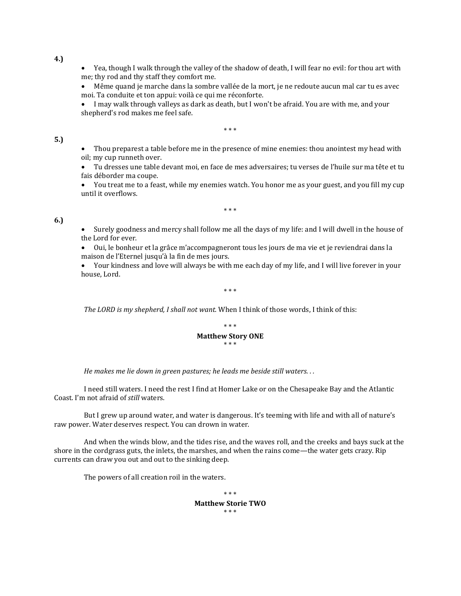• Yea, though I walk through the valley of the shadow of death, I will fear no evil: for thou art with me; thy rod and thy staff they comfort me.

• Même quand je marche dans la sombre vallée de la mort, je ne redoute aucun mal car tu es avec moi. Ta conduite et ton appui: voilà ce qui me réconforte.

• I may walk through valleys as dark as death, but I won't be afraid. You are with me, and your shepherd's rod makes me feel safe.

\* \* \*

## **5.)**

• Thou preparest a table before me in the presence of mine enemies: thou anointest my head with oil; my cup runneth over.

• Tu dresses une table devant moi, en face de mes adversaires; tu verses de l'huile sur ma tête et tu fais déborder ma coupe.

• You treat me to a feast, while my enemies watch. You honor me as your guest, and you fill my cup until it overflows.

\* \* \*

# **6.)**

• Surely goodness and mercy shall follow me all the days of my life: and I will dwell in the house of the Lord for ever.

• Oui, le bonheur et la grâce m'accompagneront tous les jours de ma vie et je reviendrai dans la maison de l'Eternel jusqu'à la fin de mes jours.

• Your kindness and love will always be with me each day of my life, and I will live forever in your house, Lord.

\* \* \*

*The LORD is my shepherd, I shall not want.* When I think of those words, I think of this:



*He makes me lie down in green pastures; he leads me beside still waters. . .*

 I need still waters. I need the rest I find at Homer Lake or on the Chesapeake Bay and the Atlantic Coast. I'm not afraid of *still* waters.

 But I grew up around water, and water is dangerous. It's teeming with life and with all of nature's raw power. Water deserves respect. You can drown in water.

 And when the winds blow, and the tides rise, and the waves roll, and the creeks and bays suck at the shore in the cordgrass guts, the inlets, the marshes, and when the rains come—the water gets crazy. Rip currents can draw you out and out to the sinking deep.

The powers of all creation roil in the waters.

\* \* \* **Matthew Storie TWO** \* \* \*

**4.)**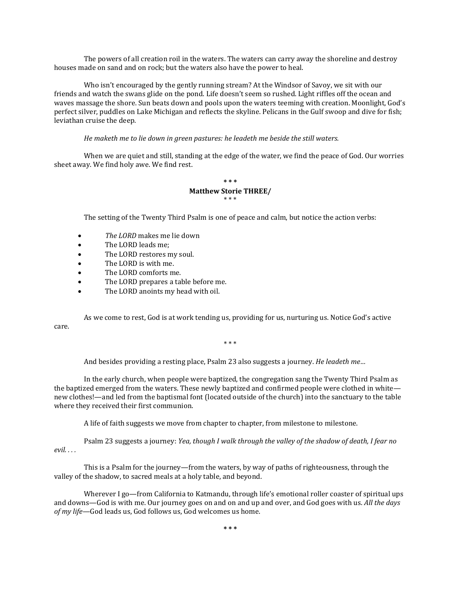The powers of all creation roil in the waters. The waters can carry away the shoreline and destroy houses made on sand and on rock; but the waters also have the power to heal.

 Who isn't encouraged by the gently running stream? At the Windsor of Savoy, we sit with our friends and watch the swans glide on the pond. Life doesn't seem so rushed. Light riffles off the ocean and waves massage the shore. Sun beats down and pools upon the waters teeming with creation. Moonlight, God's perfect silver, puddles on Lake Michigan and reflects the skyline. Pelicans in the Gulf swoop and dive for fish; leviathan cruise the deep.

 *He maketh me to lie down in green pastures: he leadeth me beside the still waters.*

 When we are quiet and still, standing at the edge of the water, we find the peace of God. Our worries sheet away. We find holy awe. We find rest.

### **\* \* \* Matthew Storie THREE/** \* \* \*

The setting of the Twenty Third Psalm is one of peace and calm, but notice the action verbs:

- *The LORD* makes me lie down
- The LORD leads me;
- The LORD restores my soul.
- The LORD is with me.
- The LORD comforts me.
- The LORD prepares a table before me.<br>• The LORD anoints my head with oil
- The LORD anoints my head with oil.

 As we come to rest, God is at work tending us, providing for us, nurturing us. Notice God's active care.

\* \* \*

And besides providing a resting place, Psalm 23 also suggests a journey. *He leadeth me…*

In the early church, when people were baptized, the congregation sang the Twenty Third Psalm as the baptized emerged from the waters. These newly baptized and confirmed people were clothed in white new clothes!—and led from the baptismal font (located outside of the church) into the sanctuary to the table where they received their first communion.

A life of faith suggests we move from chapter to chapter, from milestone to milestone.

Psalm 23 suggests a journey: *Yea, though I walk through the valley of the shadow of death, I fear no evil. . . .*

This is a Psalm for the journey—from the waters, by way of paths of righteousness, through the valley of the shadow, to sacred meals at a holy table, and beyond.

Wherever I go—from California to Katmandu, through life's emotional roller coaster of spiritual ups and downs—God is with me. Our journey goes on and on and up and over, and God goes with us. *All the days of my life—*God leads us, God follows us, God welcomes us home.